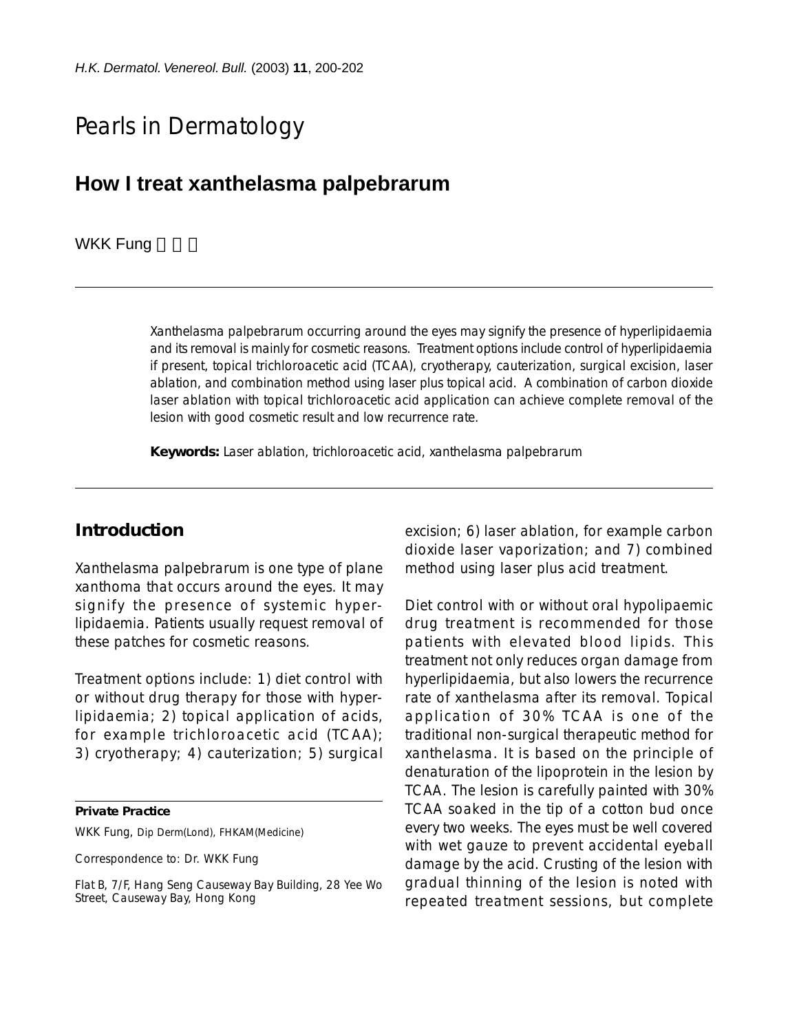# Pearls in Dermatology

# **How I treat xanthelasma palpebrarum**

#### **WKK Fung**

Xanthelasma palpebrarum occurring around the eyes may signify the presence of hyperlipidaemia and its removal is mainly for cosmetic reasons. Treatment options include control of hyperlipidaemia if present, topical trichloroacetic acid (TCAA), cryotherapy, cauterization, surgical excision, laser ablation, and combination method using laser plus topical acid. A combination of carbon dioxide laser ablation with topical trichloroacetic acid application can achieve complete removal of the lesion with good cosmetic result and low recurrence rate.

**Keywords:** Laser ablation, trichloroacetic acid, xanthelasma palpebrarum

## **Introduction**

Xanthelasma palpebrarum is one type of plane xanthoma that occurs around the eyes. It may signify the presence of systemic hyperlipidaemia. Patients usually request removal of these patches for cosmetic reasons.

Treatment options include: 1) diet control with or without drug therapy for those with hyperlipidaemia; 2) topical application of acids, for example trichloroacetic acid (TCAA); 3) cryotherapy; 4) cauterization; 5) surgical

**Private Practice**

WKK Fung, Dip Derm(Lond), FHKAM(Medicine)

Correspondence to: Dr. WKK Fung

Flat B, 7/F, Hang Seng Causeway Bay Building, 28 Yee Wo Street, Causeway Bay, Hong Kong

excision; 6) laser ablation, for example carbon dioxide laser vaporization; and 7) combined method using laser plus acid treatment.

Diet control with or without oral hypolipaemic drug treatment is recommended for those patients with elevated blood lipids. This treatment not only reduces organ damage from hyperlipidaemia, but also lowers the recurrence rate of xanthelasma after its removal. Topical application of 30% TCAA is one of the traditional non-surgical therapeutic method for xanthelasma. It is based on the principle of denaturation of the lipoprotein in the lesion by TCAA. The lesion is carefully painted with 30% TCAA soaked in the tip of a cotton bud once every two weeks. The eyes must be well covered with wet gauze to prevent accidental eyeball damage by the acid. Crusting of the lesion with gradual thinning of the lesion is noted with repeated treatment sessions, but complete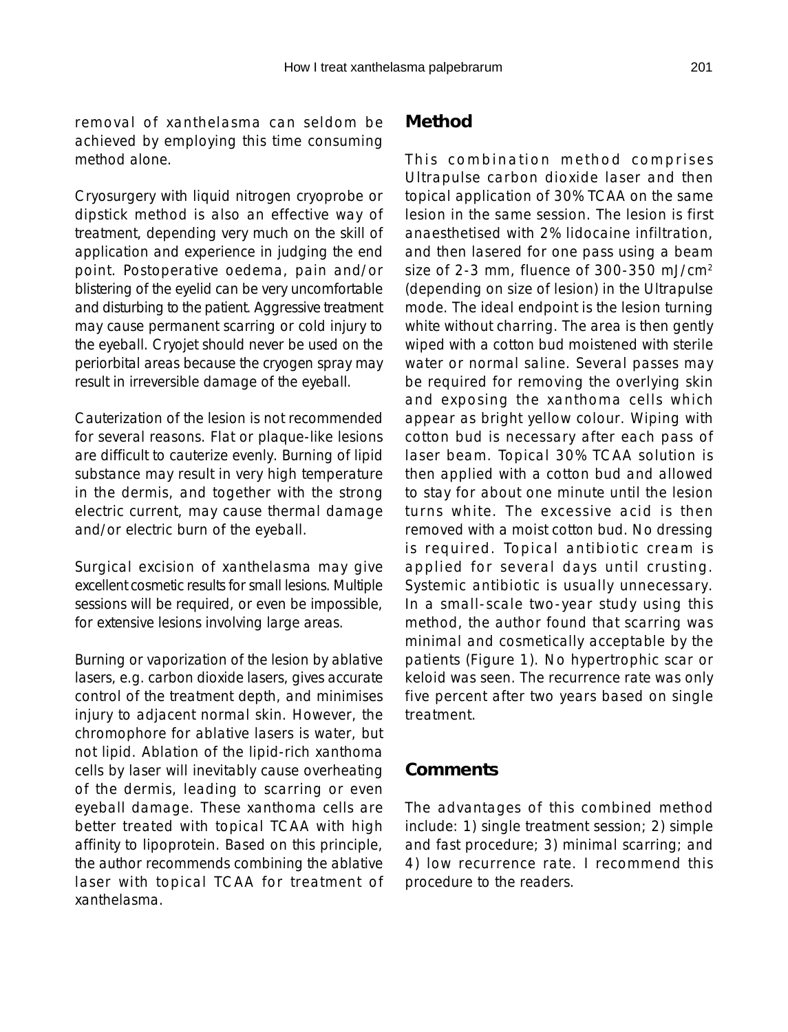removal of xanthelasma can seldom be achieved by employing this time consuming method alone.

Cryosurgery with liquid nitrogen cryoprobe or dipstick method is also an effective way of treatment, depending very much on the skill of application and experience in judging the end point. Postoperative oedema, pain and/or blistering of the eyelid can be very uncomfortable and disturbing to the patient. Aggressive treatment may cause permanent scarring or cold injury to the eyeball. Cryojet should never be used on the periorbital areas because the cryogen spray may result in irreversible damage of the eyeball.

Cauterization of the lesion is not recommended for several reasons. Flat or plaque-like lesions are difficult to cauterize evenly. Burning of lipid substance may result in very high temperature in the dermis, and together with the strong electric current, may cause thermal damage and/or electric burn of the eyeball.

Surgical excision of xanthelasma may give excellent cosmetic results for small lesions. Multiple sessions will be required, or even be impossible, for extensive lesions involving large areas.

Burning or vaporization of the lesion by ablative lasers, e.g. carbon dioxide lasers, gives accurate control of the treatment depth, and minimises injury to adjacent normal skin. However, the chromophore for ablative lasers is water, but not lipid. Ablation of the lipid-rich xanthoma cells by laser will inevitably cause overheating of the dermis, leading to scarring or even eyeball damage. These xanthoma cells are better treated with topical TCAA with high affinity to lipoprotein. Based on this principle, the author recommends combining the ablative laser with topical TCAA for treatment of xanthelasma.

## **Method**

This combination method comprises Ultrapulse carbon dioxide laser and then topical application of 30% TCAA on the same lesion in the same session. The lesion is first anaesthetised with 2% lidocaine infiltration, and then lasered for one pass using a beam size of 2-3 mm, fluence of 300-350 mJ/cm2 (depending on size of lesion) in the Ultrapulse mode. The ideal endpoint is the lesion turning white without charring. The area is then gently wiped with a cotton bud moistened with sterile water or normal saline. Several passes may be required for removing the overlying skin and exposing the xanthoma cells which appear as bright yellow colour. Wiping with cotton bud is necessary after each pass of laser beam. Topical 30% TCAA solution is then applied with a cotton bud and allowed to stay for about one minute until the lesion turns white. The excessive acid is then removed with a moist cotton bud. No dressing is required. Topical antibiotic cream is applied for several days until crusting. Systemic antibiotic is usually unnecessary. In a small-scale two-year study using this method, the author found that scarring was minimal and cosmetically acceptable by the patients (Figure 1). No hypertrophic scar or keloid was seen. The recurrence rate was only five percent after two years based on single treatment.

#### **Comments**

The advantages of this combined method include: 1) single treatment session; 2) simple and fast procedure; 3) minimal scarring; and 4) low recurrence rate. I recommend this procedure to the readers.